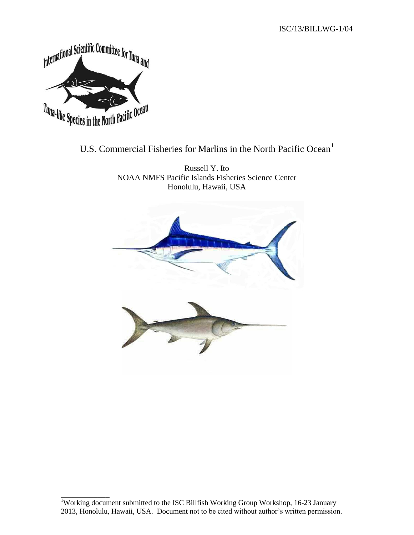

\_\_\_\_\_\_\_\_\_\_\_\_

# U.S. Commercial Fisheries for Marlins in the North Pacific Ocean<sup>1</sup>

Russell Y. Ito NOAA NMFS Pacific Islands Fisheries Science Center Honolulu, Hawaii, USA



<sup>&</sup>lt;sup>1</sup>Working document submitted to the ISC Billfish Working Group Workshop, 16-23 January 2013, Honolulu, Hawaii, USA. Document not to be cited without author's written permission.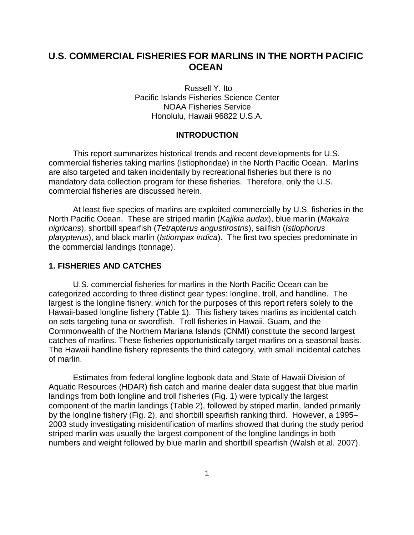## **U.S. COMMERCIAL FISHERIES FOR MARLINS IN THE NORTH PACIFIC OCEAN**

Russell Y. Ito Pacific Islands Fisheries Science Center NOAA Fisheries Service Honolulu, Hawaii 96822 U.S.A.

## **INTRODUCTION**

This report summarizes historical trends and recent developments for U.S. commercial fisheries taking marlins (Istiophoridae) in the North Pacific Ocean. Marlins are also targeted and taken incidentally by recreational fisheries but there is no mandatory data collection program for these fisheries. Therefore, only the U.S. commercial fisheries are discussed herein.

At least five species of marlins are exploited commercially by U.S. fisheries in the North Pacific Ocean. These are striped marlin (*Kajikia audax*), blue marlin (*Makaira nigricans*), shortbill spearfish (*Tetrapterus angustirostris*), sailfish (*Istiophorus platypterus*), and black marlin (*Istiompax indica*). The first two species predominate in the commercial landings (tonnage).

## **1. FISHERIES AND CATCHES**

U.S. commercial fisheries for marlins in the North Pacific Ocean can be categorized according to three distinct gear types: longline, troll, and handline. The largest is the longline fishery, which for the purposes of this report refers solely to the Hawaii-based longline fishery (Table 1). This fishery takes marlins as incidental catch on sets targeting tuna or swordfish. Troll fisheries in Hawaii, Guam, and the Commonwealth of the Northern Mariana Islands (CNMI) constitute the second largest catches of marlins. These fisheries opportunistically target marlins on a seasonal basis. The Hawaii handline fishery represents the third category, with small incidental catches of marlin.

Estimates from federal longline logbook data and State of Hawaii Division of Aquatic Resources (HDAR) fish catch and marine dealer data suggest that blue marlin landings from both longline and troll fisheries (Fig. 1) were typically the largest component of the marlin landings (Table 2), followed by striped marlin, landed primarily by the longline fishery (Fig. 2), and shortbill spearfish ranking third. However, a 1995– 2003 study investigating misidentification of marlins showed that during the study period striped marlin was usually the largest component of the longline landings in both numbers and weight followed by blue marlin and shortbill spearfish (Walsh et al. 2007).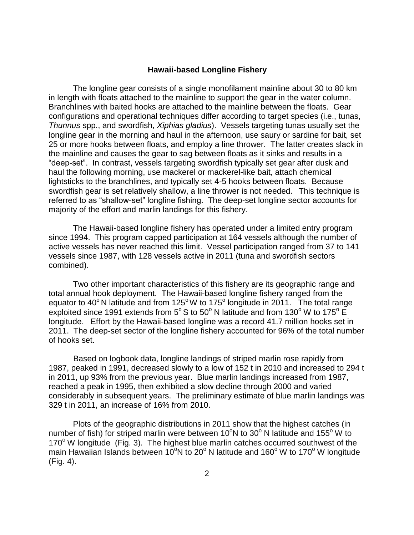#### **Hawaii-based Longline Fishery**

The longline gear consists of a single monofilament mainline about 30 to 80 km in length with floats attached to the mainline to support the gear in the water column. Branchlines with baited hooks are attached to the mainline between the floats. Gear configurations and operational techniques differ according to target species (i.e., tunas, *Thunnus* spp., and swordfish, *Xiphias gladius*). Vessels targeting tunas usually set the longline gear in the morning and haul in the afternoon, use saury or sardine for bait, set 25 or more hooks between floats, and employ a line thrower. The latter creates slack in the mainline and causes the gear to sag between floats as it sinks and results in a "deep-set". In contrast, vessels targeting swordfish typically set gear after dusk and haul the following morning, use mackerel or mackerel-like bait, attach chemical lightsticks to the branchlines, and typically set 4-5 hooks between floats. Because swordfish gear is set relatively shallow, a line thrower is not needed. This technique is referred to as "shallow-set" longline fishing. The deep-set longline sector accounts for majority of the effort and marlin landings for this fishery.

The Hawaii-based longline fishery has operated under a limited entry program since 1994. This program capped participation at 164 vessels although the number of active vessels has never reached this limit. Vessel participation ranged from 37 to 141 vessels since 1987, with 128 vessels active in 2011 (tuna and swordfish sectors combined).

Two other important characteristics of this fishery are its geographic range and total annual hook deployment. The Hawaii-based longline fishery ranged from the equator to 40 $^{\circ}$  N latitude and from 125 $^{\circ}$  W to 175 $^{\circ}$  longitude in 2011. The total range exploited since 1991 extends from 5° S to 50° N latitude and from 130° W to 175°  $\check{\mathsf{E}}$ longitude. Effort by the Hawaii-based longline was a record 41.7 million hooks set in 2011. The deep-set sector of the longline fishery accounted for 96% of the total number of hooks set.

Based on logbook data, longline landings of striped marlin rose rapidly from 1987, peaked in 1991, decreased slowly to a low of 152 t in 2010 and increased to 294 t in 2011, up 93% from the previous year. Blue marlin landings increased from 1987, reached a peak in 1995, then exhibited a slow decline through 2000 and varied considerably in subsequent years. The preliminary estimate of blue marlin landings was 329 t in 2011, an increase of 16% from 2010.

Plots of the geographic distributions in 2011 show that the highest catches (in number of fish) for striped marlin were between 10 $\mathrm{°N}$  to 30 $\mathrm{°N}$  latitude and 155 $\mathrm{°W}$  to  $170^{\circ}$  W longitude (Fig. 3). The highest blue marlin catches occurred southwest of the main Hawaiian Islands between 10<sup>o</sup>N to 20<sup>o</sup>N latitude and 160<sup>o</sup> W to 170<sup>o</sup> W longitude (Fig. 4).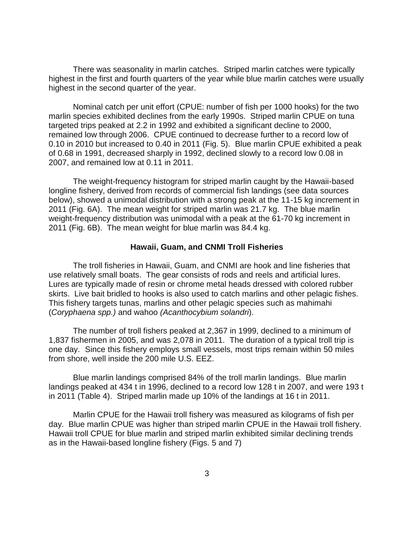There was seasonality in marlin catches. Striped marlin catches were typically highest in the first and fourth quarters of the year while blue marlin catches were usually highest in the second quarter of the year.

Nominal catch per unit effort (CPUE: number of fish per 1000 hooks) for the two marlin species exhibited declines from the early 1990s. Striped marlin CPUE on tuna targeted trips peaked at 2.2 in 1992 and exhibited a significant decline to 2000, remained low through 2006. CPUE continued to decrease further to a record low of 0.10 in 2010 but increased to 0.40 in 2011 (Fig. 5). Blue marlin CPUE exhibited a peak of 0.68 in 1991, decreased sharply in 1992, declined slowly to a record low 0.08 in 2007, and remained low at 0.11 in 2011.

The weight-frequency histogram for striped marlin caught by the Hawaii-based longline fishery, derived from records of commercial fish landings (see data sources below), showed a unimodal distribution with a strong peak at the 11-15 kg increment in 2011 (Fig. 6A). The mean weight for striped marlin was 21.7 kg. The blue marlin weight-frequency distribution was unimodal with a peak at the 61-70 kg increment in 2011 (Fig. 6B). The mean weight for blue marlin was 84.4 kg.

#### **Hawaii, Guam, and CNMI Troll Fisheries**

The troll fisheries in Hawaii, Guam, and CNMI are hook and line fisheries that use relatively small boats. The gear consists of rods and reels and artificial lures. Lures are typically made of resin or chrome metal heads dressed with colored rubber skirts. Live bait bridled to hooks is also used to catch marlins and other pelagic fishes. This fishery targets tunas, marlins and other pelagic species such as mahimahi (*Coryphaena spp.)* and wahoo *(Acanthocybium solandri*).

The number of troll fishers peaked at 2,367 in 1999, declined to a minimum of 1,837 fishermen in 2005, and was 2,078 in 2011. The duration of a typical troll trip is one day. Since this fishery employs small vessels, most trips remain within 50 miles from shore, well inside the 200 mile U.S. EEZ.

Blue marlin landings comprised 84% of the troll marlin landings. Blue marlin landings peaked at 434 t in 1996, declined to a record low 128 t in 2007, and were 193 t in 2011 (Table 4). Striped marlin made up 10% of the landings at 16 t in 2011.

Marlin CPUE for the Hawaii troll fishery was measured as kilograms of fish per day. Blue marlin CPUE was higher than striped marlin CPUE in the Hawaii troll fishery. Hawaii troll CPUE for blue marlin and striped marlin exhibited similar declining trends as in the Hawaii-based longline fishery (Figs. 5 and 7)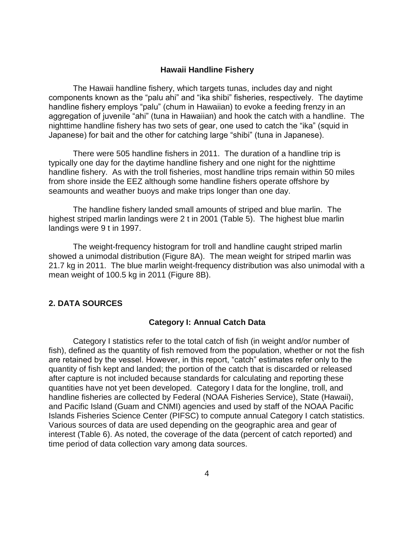## **Hawaii Handline Fishery**

The Hawaii handline fishery, which targets tunas, includes day and night components known as the "palu ahi" and "ika shibi" fisheries, respectively. The daytime handline fishery employs "palu" (chum in Hawaiian) to evoke a feeding frenzy in an aggregation of juvenile "ahi" (tuna in Hawaiian) and hook the catch with a handline. The nighttime handline fishery has two sets of gear, one used to catch the "ika" (squid in Japanese) for bait and the other for catching large "shibi" (tuna in Japanese).

There were 505 handline fishers in 2011. The duration of a handline trip is typically one day for the daytime handline fishery and one night for the nighttime handline fishery. As with the troll fisheries, most handline trips remain within 50 miles from shore inside the EEZ although some handline fishers operate offshore by seamounts and weather buoys and make trips longer than one day.

The handline fishery landed small amounts of striped and blue marlin. The highest striped marlin landings were 2 t in 2001 (Table 5). The highest blue marlin landings were 9 t in 1997.

The weight-frequency histogram for troll and handline caught striped marlin showed a unimodal distribution (Figure 8A). The mean weight for striped marlin was 21.7 kg in 2011. The blue marlin weight-frequency distribution was also unimodal with a mean weight of 100.5 kg in 2011 (Figure 8B).

## **2. DATA SOURCES**

## **Category I: Annual Catch Data**

Category I statistics refer to the total catch of fish (in weight and/or number of fish), defined as the quantity of fish removed from the population, whether or not the fish are retained by the vessel. However, in this report, "catch" estimates refer only to the quantity of fish kept and landed; the portion of the catch that is discarded or released after capture is not included because standards for calculating and reporting these quantities have not yet been developed. Category I data for the longline, troll, and handline fisheries are collected by Federal (NOAA Fisheries Service), State (Hawaii), and Pacific Island (Guam and CNMI) agencies and used by staff of the NOAA Pacific Islands Fisheries Science Center (PIFSC) to compute annual Category I catch statistics. Various sources of data are used depending on the geographic area and gear of interest (Table 6). As noted, the coverage of the data (percent of catch reported) and time period of data collection vary among data sources.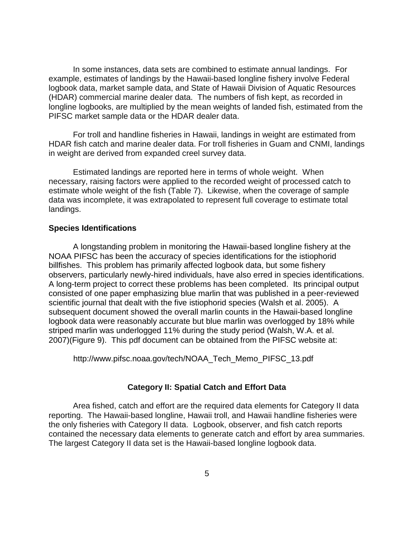In some instances, data sets are combined to estimate annual landings. For example, estimates of landings by the Hawaii-based longline fishery involve Federal logbook data, market sample data, and State of Hawaii Division of Aquatic Resources (HDAR) commercial marine dealer data. The numbers of fish kept, as recorded in longline logbooks, are multiplied by the mean weights of landed fish, estimated from the PIFSC market sample data or the HDAR dealer data.

For troll and handline fisheries in Hawaii, landings in weight are estimated from HDAR fish catch and marine dealer data. For troll fisheries in Guam and CNMI, landings in weight are derived from expanded creel survey data.

Estimated landings are reported here in terms of whole weight. When necessary, raising factors were applied to the recorded weight of processed catch to estimate whole weight of the fish (Table 7). Likewise, when the coverage of sample data was incomplete, it was extrapolated to represent full coverage to estimate total landings.

### **Species Identifications**

A longstanding problem in monitoring the Hawaii-based longline fishery at the NOAA PIFSC has been the accuracy of species identifications for the istiophorid billfishes. This problem has primarily affected logbook data, but some fishery observers, particularly newly-hired individuals, have also erred in species identifications. A long-term project to correct these problems has been completed. Its principal output consisted of one paper emphasizing blue marlin that was published in a peer-reviewed scientific journal that dealt with the five istiophorid species (Walsh et al. 2005). A subsequent document showed the overall marlin counts in the Hawaii-based longline logbook data were reasonably accurate but blue marlin was overlogged by 18% while striped marlin was underlogged 11% during the study period (Walsh, W.A. et al. 2007)(Figure 9). This pdf document can be obtained from the PIFSC website at:

[http://www.pifsc.noaa.gov/tech/NOAA\\_Tech\\_Memo\\_PIFSC\\_13.pdf](http://www.pifsc.noaa.gov/tech/NOAA_Tech_Memo_PIFSC_13.pdf)

## **Category II: Spatial Catch and Effort Data**

Area fished, catch and effort are the required data elements for Category II data reporting. The Hawaii-based longline, Hawaii troll, and Hawaii handline fisheries were the only fisheries with Category II data. Logbook, observer, and fish catch reports contained the necessary data elements to generate catch and effort by area summaries. The largest Category II data set is the Hawaii-based longline logbook data.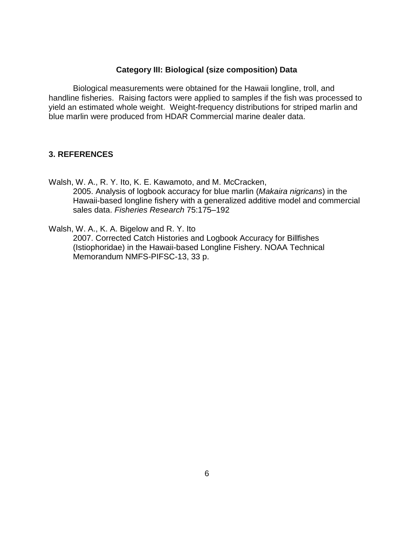## **Category III: Biological (size composition) Data**

Biological measurements were obtained for the Hawaii longline, troll, and handline fisheries. Raising factors were applied to samples if the fish was processed to yield an estimated whole weight. Weight-frequency distributions for striped marlin and blue marlin were produced from HDAR Commercial marine dealer data.

## **3. REFERENCES**

Walsh, W. A., R. Y. Ito, K. E. Kawamoto, and M. McCracken, 2005. Analysis of logbook accuracy for blue marlin (*Makaira nigricans*) in the Hawaii-based longline fishery with a generalized additive model and commercial sales data. *Fisheries Research* 75:175–192

Walsh, W. A., K. A. Bigelow and R. Y. Ito

2007. Corrected Catch Histories and Logbook Accuracy for Billfishes (Istiophoridae) in the Hawaii-based Longline Fishery. NOAA Technical Memorandum NMFS-PIFSC-13, 33 p.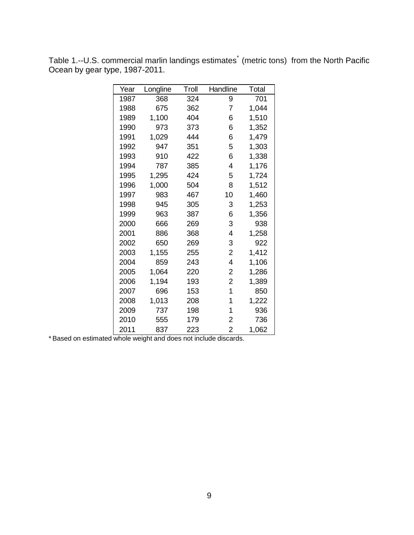| Year | Longline | Troll | Handline       | Total |
|------|----------|-------|----------------|-------|
| 1987 | 368      | 324   | 9              | 701   |
| 1988 | 675      | 362   | 7              | 1,044 |
| 1989 | 1,100    | 404   | 6              | 1,510 |
| 1990 | 973      | 373   | 6              | 1,352 |
| 1991 | 1,029    | 444   | 6              | 1,479 |
| 1992 | 947      | 351   | 5              | 1,303 |
| 1993 | 910      | 422   | 6              | 1,338 |
| 1994 | 787      | 385   | 4              | 1,176 |
| 1995 | 1,295    | 424   | 5              | 1,724 |
| 1996 | 1,000    | 504   | 8              | 1,512 |
| 1997 | 983      | 467   | 10             | 1,460 |
| 1998 | 945      | 305   | 3              | 1,253 |
| 1999 | 963      | 387   | 6              | 1,356 |
| 2000 | 666      | 269   | 3              | 938   |
| 2001 | 886      | 368   | 4              | 1,258 |
| 2002 | 650      | 269   | 3              | 922   |
| 2003 | 1,155    | 255   | 2              | 1,412 |
| 2004 | 859      | 243   | 4              | 1,106 |
| 2005 | 1,064    | 220   | 2              | 1,286 |
| 2006 | 1,194    | 193   | 2              | 1,389 |
| 2007 | 696      | 153   | 1              | 850   |
| 2008 | 1,013    | 208   | 1              | 1,222 |
| 2009 | 737      | 198   | 1              | 936   |
| 2010 | 555      | 179   | 2              | 736   |
| 2011 | 837      | 223   | $\overline{2}$ | 1,062 |

Table 1.--U.S. commercial marlin landings estimates<sup>\*</sup> (metric tons) from the North Pacific Ocean by gear type, 1987-2011.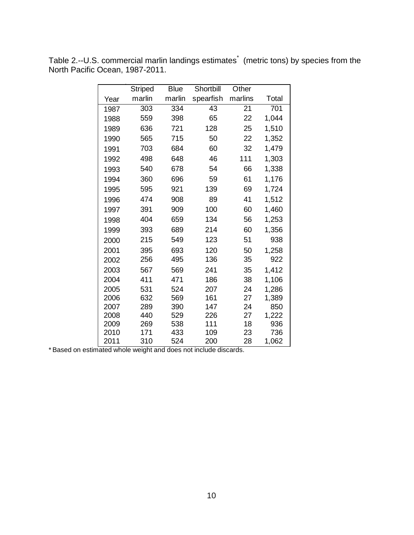|      | <b>Striped</b> | <b>Blue</b> | Shortbill | Other   |       |
|------|----------------|-------------|-----------|---------|-------|
| Year | marlin         | marlin      | spearfish | marlins | Total |
| 1987 | 303            | 334         | 43        | 21      | 701   |
| 1988 | 559            | 398         | 65        | 22      | 1,044 |
| 1989 | 636            | 721         | 128       | 25      | 1,510 |
| 1990 | 565            | 715         | 50        | 22      | 1,352 |
| 1991 | 703            | 684         | 60        | 32      | 1,479 |
| 1992 | 498            | 648         | 46        | 111     | 1,303 |
| 1993 | 540            | 678         | 54        | 66      | 1,338 |
| 1994 | 360            | 696         | 59        | 61      | 1,176 |
| 1995 | 595            | 921         | 139       | 69      | 1,724 |
| 1996 | 474            | 908         | 89        | 41      | 1,512 |
| 1997 | 391            | 909         | 100       | 60      | 1,460 |
| 1998 | 404            | 659         | 134       | 56      | 1,253 |
| 1999 | 393            | 689         | 214       | 60      | 1,356 |
| 2000 | 215            | 549         | 123       | 51      | 938   |
| 2001 | 395            | 693         | 120       | 50      | 1,258 |
| 2002 | 256            | 495         | 136       | 35      | 922   |
| 2003 | 567            | 569         | 241       | 35      | 1,412 |
| 2004 | 411            | 471         | 186       | 38      | 1,106 |
| 2005 | 531            | 524         | 207       | 24      | 1,286 |
| 2006 | 632            | 569         | 161       | 27      | 1,389 |
| 2007 | 289            | 390         | 147       | 24      | 850   |
| 2008 | 440            | 529         | 226       | 27      | 1,222 |
| 2009 | 269            | 538         | 111       | 18      | 936   |
| 2010 | 171            | 433         | 109       | 23      | 736   |
| 2011 | 310            | 524         | 200       | 28      | 1,062 |

Table 2.--U.S. commercial marlin landings estimates<sup>\*</sup> (metric tons) by species from the North Pacific Ocean, 1987-2011.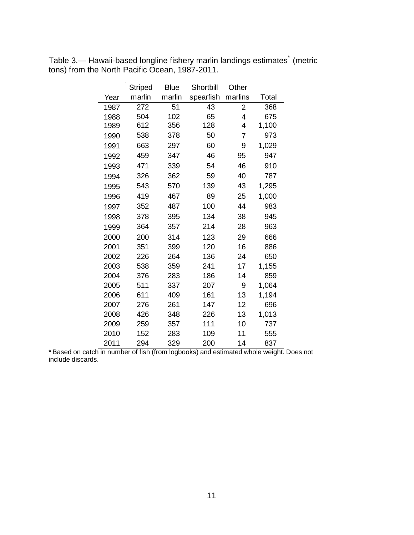|      | Striped | <b>Blue</b> | Shortbill | Other   |       |
|------|---------|-------------|-----------|---------|-------|
| Year | marlin  | marlin      | spearfish | marlins | Total |
| 1987 | 272     | 51          | 43        | 2       | 368   |
| 1988 | 504     | 102         | 65        | 4       | 675   |
| 1989 | 612     | 356         | 128       | 4       | 1,100 |
| 1990 | 538     | 378         | 50        | 7       | 973   |
| 1991 | 663     | 297         | 60        | 9       | 1,029 |
| 1992 | 459     | 347         | 46        | 95      | 947   |
| 1993 | 471     | 339         | 54        | 46      | 910   |
| 1994 | 326     | 362         | 59        | 40      | 787   |
| 1995 | 543     | 570         | 139       | 43      | 1,295 |
| 1996 | 419     | 467         | 89        | 25      | 1,000 |
| 1997 | 352     | 487         | 100       | 44      | 983   |
| 1998 | 378     | 395         | 134       | 38      | 945   |
| 1999 | 364     | 357         | 214       | 28      | 963   |
| 2000 | 200     | 314         | 123       | 29      | 666   |
| 2001 | 351     | 399         | 120       | 16      | 886   |
| 2002 | 226     | 264         | 136       | 24      | 650   |
| 2003 | 538     | 359         | 241       | 17      | 1,155 |
| 2004 | 376     | 283         | 186       | 14      | 859   |
| 2005 | 511     | 337         | 207       | 9       | 1,064 |
| 2006 | 611     | 409         | 161       | 13      | 1,194 |
| 2007 | 276     | 261         | 147       | 12      | 696   |
| 2008 | 426     | 348         | 226       | 13      | 1,013 |
| 2009 | 259     | 357         | 111       | 10      | 737   |
| 2010 | 152     | 283         | 109       | 11      | 555   |
| 2011 | 294     | 329         | 200       | 14      | 837   |

Table 3.— Hawaii-based longline fishery marlin landings estimates<sup>\*</sup> (metric tons) from the North Pacific Ocean, 1987-2011.

\* Based on catch in number of fish (from logbooks) and estimated whole weight. Does not include discards.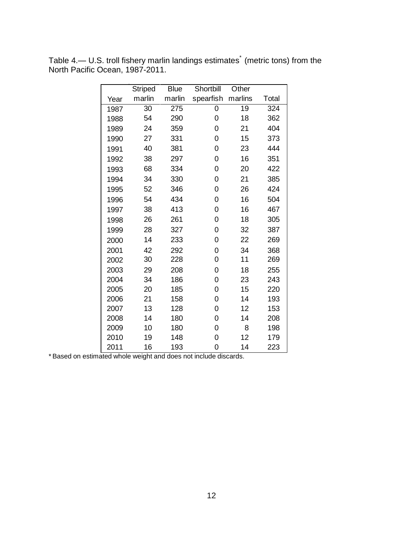|      | <b>Striped</b> | <b>Blue</b> | Shortbill | Other   |       |
|------|----------------|-------------|-----------|---------|-------|
| Year | marlin         | marlin      | spearfish | marlins | Total |
| 1987 | 30             | 275         | 0         | 19      | 324   |
| 1988 | 54             | 290         | 0         | 18      | 362   |
| 1989 | 24             | 359         | 0         | 21      | 404   |
| 1990 | 27             | 331         | 0         | 15      | 373   |
| 1991 | 40             | 381         | 0         | 23      | 444   |
| 1992 | 38             | 297         | 0         | 16      | 351   |
| 1993 | 68             | 334         | 0         | 20      | 422   |
| 1994 | 34             | 330         | 0         | 21      | 385   |
| 1995 | 52             | 346         | 0         | 26      | 424   |
| 1996 | 54             | 434         | 0         | 16      | 504   |
| 1997 | 38             | 413         | 0         | 16      | 467   |
| 1998 | 26             | 261         | 0         | 18      | 305   |
| 1999 | 28             | 327         | 0         | 32      | 387   |
| 2000 | 14             | 233         | 0         | 22      | 269   |
| 2001 | 42             | 292         | 0         | 34      | 368   |
| 2002 | 30             | 228         | 0         | 11      | 269   |
| 2003 | 29             | 208         | 0         | 18      | 255   |
| 2004 | 34             | 186         | 0         | 23      | 243   |
| 2005 | 20             | 185         | 0         | 15      | 220   |
| 2006 | 21             | 158         | 0         | 14      | 193   |
| 2007 | 13             | 128         | 0         | 12      | 153   |
| 2008 | 14             | 180         | 0         | 14      | 208   |
| 2009 | 10             | 180         | 0         | 8       | 198   |
| 2010 | 19             | 148         | 0         | 12      | 179   |
| 2011 | 16             | 193         | 0         | 14      | 223   |

Table 4.— U.S. troll fishery marlin landings estimates<sup>\*</sup> (metric tons) from the North Pacific Ocean, 1987-2011.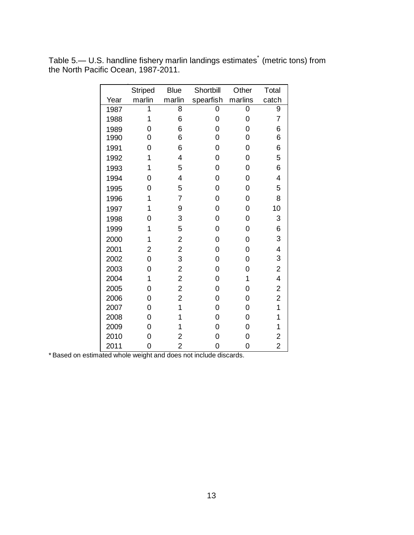|      | <b>Striped</b> | <b>Blue</b>             | Shortbill | Other          | Total                   |
|------|----------------|-------------------------|-----------|----------------|-------------------------|
| Year | marlin         | marlin                  | spearfish | marlins        | catch                   |
| 1987 | 1              | 8                       | 0         | $\overline{0}$ | 9                       |
| 1988 | 1              | 6                       | 0         | $\overline{0}$ | 7                       |
| 1989 | 0              | 6                       | 0         | 0              | 6                       |
| 1990 | 0              | 6                       | 0         | 0              | 6                       |
| 1991 | 0              | 6                       | 0         | 0              | 6                       |
| 1992 | 1              | 4                       | 0         | 0              | 5                       |
| 1993 | 1              | 5                       | 0         | 0              | 6                       |
| 1994 | 0              | 4                       | 0         | 0              | 4                       |
| 1995 | 0              | 5                       | 0         | 0              | 5                       |
| 1996 | 1              | $\overline{7}$          | 0         | 0              | 8                       |
| 1997 | 1              | 9                       | 0         | 0              | 10                      |
| 1998 | 0              | 3                       | 0         | 0              | 3                       |
| 1999 | 1              | 5                       | 0         | 0              | 6                       |
| 2000 | 1              | $\overline{\mathbf{c}}$ | 0         | 0              | 3                       |
| 2001 | 2              | $\overline{2}$          | 0         | 0              | 4                       |
| 2002 | 0              | 3                       | 0         | 0              | 3                       |
| 2003 | 0              | $\overline{\mathbf{c}}$ | 0         | 0              | $\overline{\mathbf{c}}$ |
| 2004 | 1              | $\overline{\mathbf{c}}$ | 0         | 1              | $\overline{\mathbf{4}}$ |
| 2005 | 0              | $\overline{c}$          | 0         | 0              | $\overline{\mathbf{c}}$ |
| 2006 | 0              | $\overline{c}$          | 0         | 0              | $\overline{2}$          |
| 2007 | 0              | 1                       | 0         | 0              | 1                       |
| 2008 | 0              | 1                       | 0         | 0              | 1                       |
| 2009 | 0              | 1                       | 0         | 0              | 1                       |
| 2010 | 0              | 2                       | 0         | 0              | 2                       |
| 2011 | 0              | $\overline{2}$          | 0         | 0              | $\overline{2}$          |

Table 5.— U.S. handline fishery marlin landings estimates<sup>\*</sup> (metric tons) from the North Pacific Ocean, 1987-2011.

 $\overline{a}$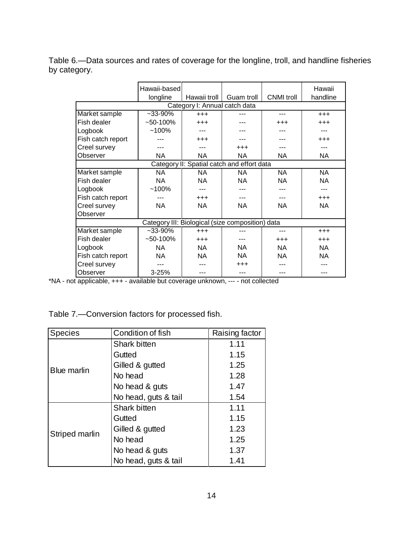Table 6.—Data sources and rates of coverage for the longline, troll, and handline fisheries by category.

|                                                  | Hawaii-based                               |              |            |                   | Hawaii    |  |  |
|--------------------------------------------------|--------------------------------------------|--------------|------------|-------------------|-----------|--|--|
|                                                  | longline                                   | Hawaii troll | Guam troll | <b>CNMI</b> troll | handline  |  |  |
|                                                  | Category I: Annual catch data              |              |            |                   |           |  |  |
| Market sample                                    | $-33-90%$                                  | $^{+++}$     |            | ---               | $+ + +$   |  |  |
| Fish dealer                                      | $~100\%$                                   | $^{+++}$     |            | $^{+++}$          | $^{+++}$  |  |  |
| Logbook                                          | $~100\%$                                   |              |            |                   |           |  |  |
| Fish catch report                                |                                            | $^{+++}$     |            |                   | $^{+++}$  |  |  |
| Creel survey                                     |                                            |              | $^{+++}$   |                   |           |  |  |
| Observer                                         | <b>NA</b>                                  | ΝA           | NA         | NA                | NA        |  |  |
|                                                  | Category II: Spatial catch and effort data |              |            |                   |           |  |  |
| Market sample                                    | <b>NA</b>                                  | NA.          | NA         | <b>NA</b>         | <b>NA</b> |  |  |
| Fish dealer                                      | <b>NA</b>                                  | NA.          | <b>NA</b>  | <b>NA</b>         | <b>NA</b> |  |  |
| Logbook                                          | $~100\%$                                   |              |            |                   |           |  |  |
| Fish catch report                                |                                            | $^{+++}$     |            |                   | $+ + +$   |  |  |
| Creel survey                                     | <b>NA</b>                                  | NA           | <b>NA</b>  | <b>NA</b>         | NA.       |  |  |
| Observer                                         |                                            |              |            |                   |           |  |  |
| Category III: Biological (size composition) data |                                            |              |            |                   |           |  |  |
| Market sample                                    | $-33-90%$                                  | $^{+++}$     | $- - -$    | $---$             | $+ + +$   |  |  |
| Fish dealer                                      | $~100\%$                                   | $^{+++}$     |            | $^{+++}$          | $^{+++}$  |  |  |
| Logbook                                          | NA.                                        | <b>NA</b>    | NA.        | <b>NA</b>         | NA.       |  |  |
| Fish catch report                                | <b>NA</b>                                  | <b>NA</b>    | NA         | <b>NA</b>         | NA        |  |  |
| Creel survey                                     |                                            |              | $^{+++}$   |                   |           |  |  |
| Observer                                         | 3-25%                                      |              | ---        |                   |           |  |  |

\*NA - not applicable, +++ - available but coverage unknown, --- - not collected

Table 7.—Conversion factors for processed fish.

| <b>Species</b>     | Condition of fish    |      |
|--------------------|----------------------|------|
|                    | Shark bitten         | 1.11 |
|                    | Gutted               | 1.15 |
| <b>Blue marlin</b> | Gilled & gutted      | 1.25 |
|                    | No head              | 1.28 |
|                    | No head & guts       | 1.47 |
|                    | No head, guts & tail | 1.54 |
|                    | Shark bitten         | 1.11 |
|                    | Gutted               | 1.15 |
| Striped marlin     | Gilled & gutted      | 1.23 |
|                    | No head              | 1.25 |
|                    | No head & guts       | 1.37 |
|                    | No head, guts & tail | 1.41 |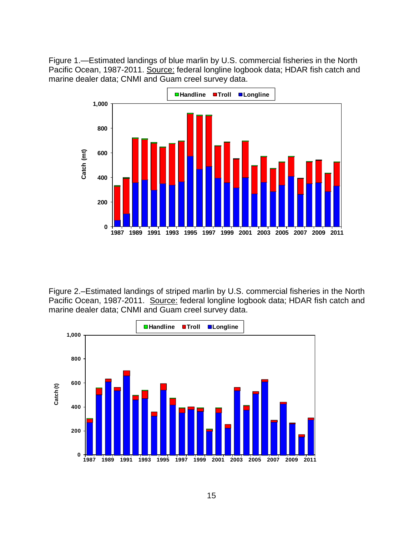Figure 1.—Estimated landings of blue marlin by U.S. commercial fisheries in the North Pacific Ocean, 1987-2011. Source: federal longline logbook data; HDAR fish catch and marine dealer data; CNMI and Guam creel survey data.



Figure 2.–Estimated landings of striped marlin by U.S. commercial fisheries in the North Pacific Ocean, 1987-2011. Source: federal longline logbook data; HDAR fish catch and marine dealer data; CNMI and Guam creel survey data.

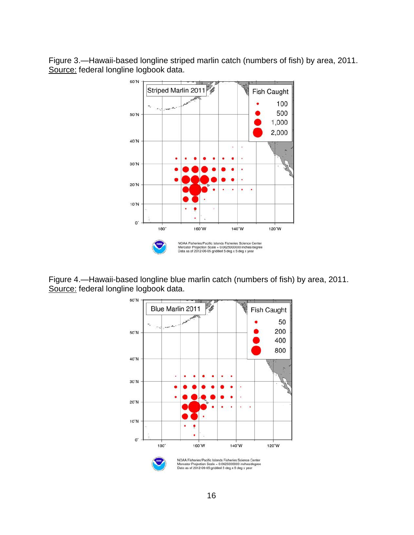Figure 3.—Hawaii-based longline striped marlin catch (numbers of fish) by area, 2011. Source: federal longline logbook data.



Figure 4.—Hawaii-based longline blue marlin catch (numbers of fish) by area, 2011. Source: federal longline logbook data.

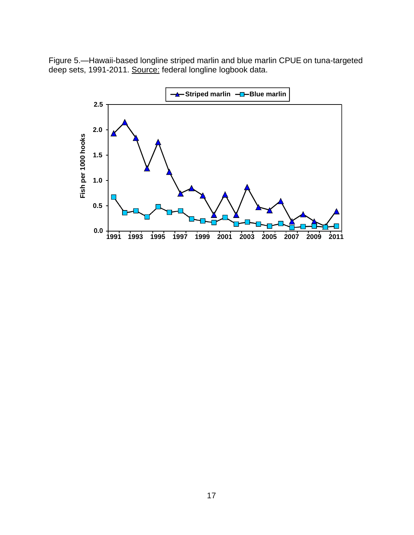Figure 5.—Hawaii-based longline striped marlin and blue marlin CPUE on tuna-targeted deep sets, 1991-2011. Source: federal longline logbook data.

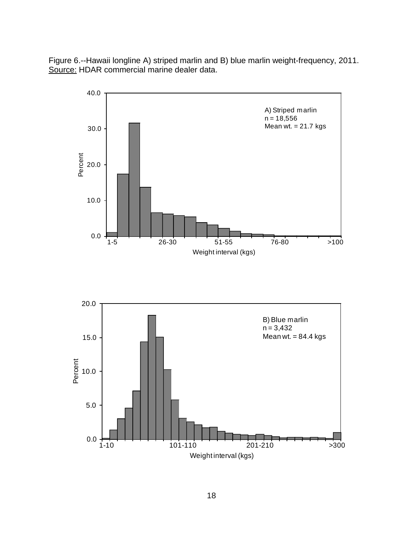Figure 6.--Hawaii longline A) striped marlin and B) blue marlin weight-frequency, 2011. Source: HDAR commercial marine dealer data.



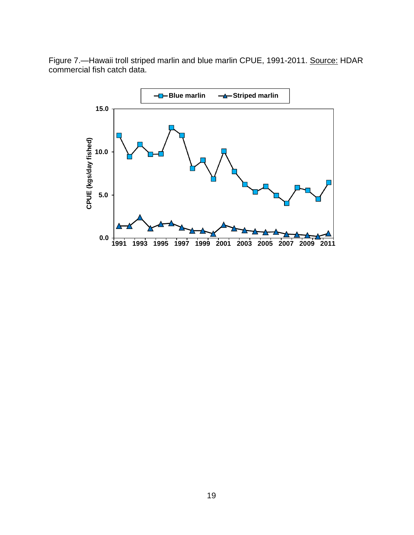Figure 7.-Hawaii troll striped marlin and blue marlin CPUE, 1991-2011. Source: HDAR commercial fish catch data.

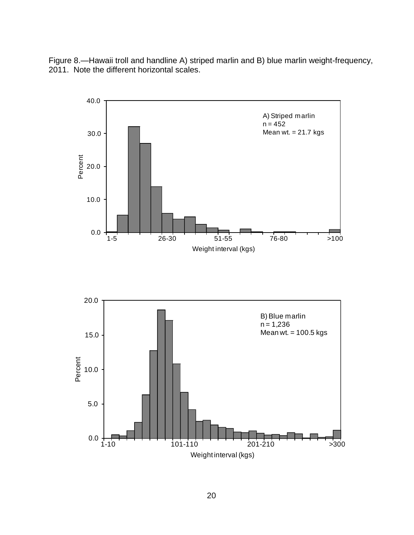Figure 8.—Hawaii troll and handline A) striped marlin and B) blue marlin weight-frequency, 2011. Note the different horizontal scales.